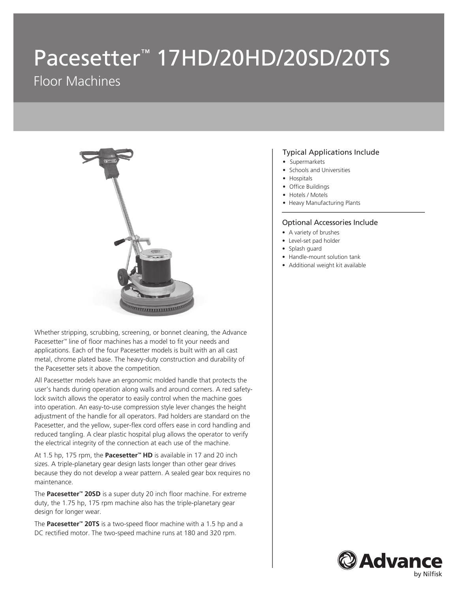# Pacesetter<sup>™</sup> 17HD/20HD/20SD/20TS

# Floor Machines



Whether stripping, scrubbing, screening, or bonnet cleaning, the Advance Pacesetter™ line of floor machines has a model to fit your needs and applications. Each of the four Pacesetter models is built with an all cast metal, chrome plated base. The heavy-duty construction and durability of the Pacesetter sets it above the competition.

All Pacesetter models have an ergonomic molded handle that protects the user's hands during operation along walls and around corners. A red safetylock switch allows the operator to easily control when the machine goes into operation. An easy-to-use compression style lever changes the height adjustment of the handle for all operators. Pad holders are standard on the Pacesetter, and the yellow, super-flex cord offers ease in cord handling and reduced tangling. A clear plastic hospital plug allows the operator to verify the electrical integrity of the connection at each use of the machine.

At 1.5 hp, 175 rpm, the **Pacesetter™ HD** is available in 17 and 20 inch sizes. A triple-planetary gear design lasts longer than other gear drives because they do not develop a wear pattern. A sealed gear box requires no maintenance.

The **Pacesetter™ 20SD** is a super duty 20 inch floor machine. For extreme duty, the 1.75 hp, 175 rpm machine also has the triple-planetary gear design for longer wear.

The **Pacesetter™ 20TS** is a two-speed floor machine with a 1.5 hp and a DC rectified motor. The two-speed machine runs at 180 and 320 rpm.

#### Typical Applications Include

- Supermarkets
- Schools and Universities
- Hospitals
- Office Buildings
- Hotels / Motels
- Heavy Manufacturing Plants

#### Optional Accessories Include

- A variety of brushes
- Level-set pad holder
- Splash guard
- Handle-mount solution tank
- Additional weight kit available